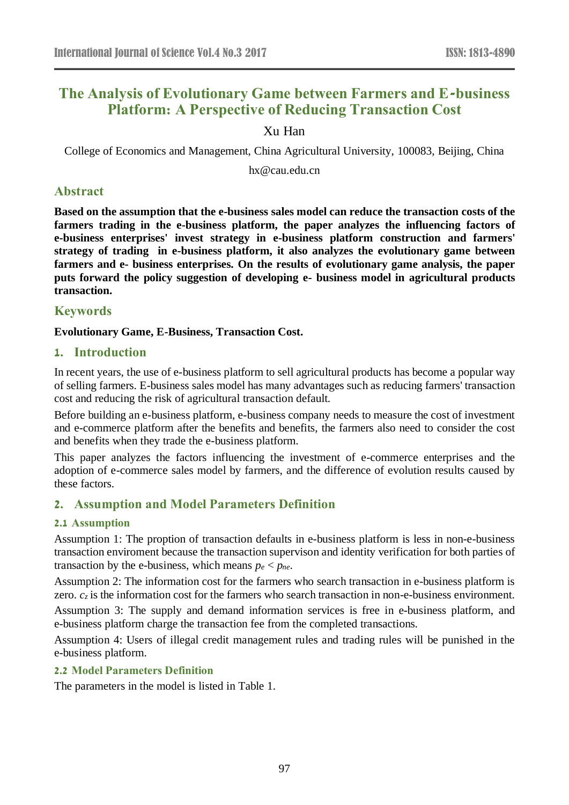# **The Analysis of Evolutionary Game between Farmers and E-business Platform: A Perspective of Reducing Transaction Cost**

# Xu Han

College of Economics and Management, China Agricultural University, 100083, Beijing, China

hx@cau.edu.cn

# **Abstract**

**Based on the assumption that the e-business sales model can reduce the transaction costs of the farmers trading in the e-business platform, the paper analyzes the influencing factors of e-business enterprises' invest strategy in e-business platform construction and farmers' strategy of trading in e-business platform, it also analyzes the evolutionary game between farmers and e- business enterprises. On the results of evolutionary game analysis, the paper puts forward the policy suggestion of developing e- business model in agricultural products transaction.**

# **Keywords**

**Evolutionary Game, E-Business, Transaction Cost.**

# **1. Introduction**

In recent years, the use of e-business platform to sell agricultural products has become a popular way of selling farmers. E-business sales model has many advantages such as reducing farmers' transaction cost and reducing the risk of agricultural transaction default.

Before building an e-business platform, e-business company needs to measure the cost of investment and e-commerce platform after the benefits and benefits, the farmers also need to consider the cost and benefits when they trade the e-business platform.

This paper analyzes the factors influencing the investment of e-commerce enterprises and the adoption of e-commerce sales model by farmers, and the difference of evolution results caused by these factors.

# **2. Assumption and Model Parameters Definition**

# **2.1 Assumption**

Assumption 1: The proption of transaction defaults in e-business platform is less in non-e-business transaction enviroment because the transaction supervison and identity verification for both parties of transaction by the e-business, which means  $p_e$  <  $p_{ne}$ .

Assumption 2: The information cost for the farmers who search transaction in e-business platform is zero.  $c_z$  is the information cost for the farmers who search transaction in non-e-business environment.

Assumption 3: The supply and demand information services is free in e-business platform, and e-business platform charge the transaction fee from the completed transactions.

Assumption 4: Users of illegal credit management rules and trading rules will be punished in the e-business platform.

### **2.2 Model Parameters Definition**

The parameters in the model is listed in [Table 1.](#page-1-0)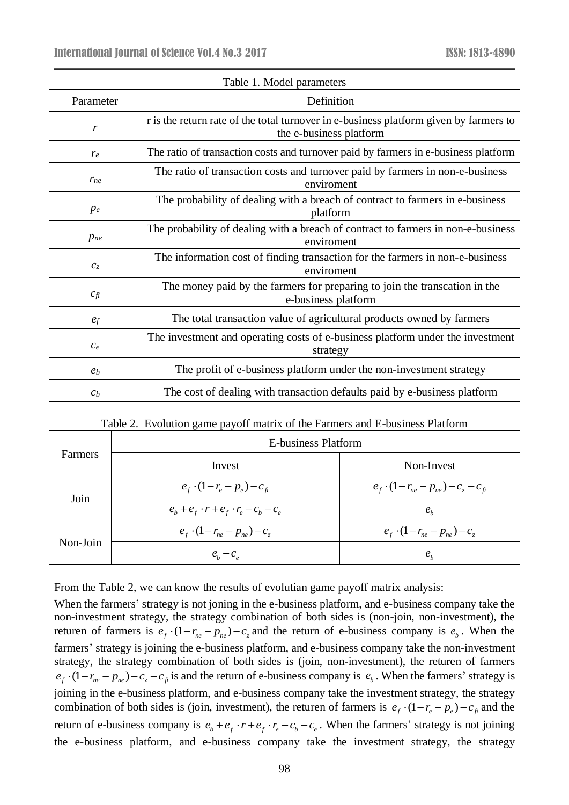<span id="page-1-0"></span>

| Parameter                 | Definition                                                                                                       |
|---------------------------|------------------------------------------------------------------------------------------------------------------|
| $\boldsymbol{r}$          | r is the return rate of the total turnover in e-business platform given by farmers to<br>the e-business platform |
| $r_e$                     | The ratio of transaction costs and turnover paid by farmers in e-business platform                               |
| $r_{ne}$                  | The ratio of transaction costs and turnover paid by farmers in non-e-business<br>enviroment                      |
| $p_e$                     | The probability of dealing with a breach of contract to farmers in e-business<br>platform                        |
| $p_{ne}$                  | The probability of dealing with a breach of contract to farmers in non-e-business<br>enviroment                  |
| $\mathcal{C}_\mathcal{Z}$ | The information cost of finding transaction for the farmers in non-e-business<br>enviroment                      |
| $c_{fi}$                  | The money paid by the farmers for preparing to join the transcation in the<br>e-business platform                |
| $e_f$                     | The total transaction value of agricultural products owned by farmers                                            |
| $c_e$                     | The investment and operating costs of e-business platform under the investment<br>strategy                       |
| e <sub>b</sub>            | The profit of e-business platform under the non-investment strategy                                              |
| c <sub>b</sub>            | The cost of dealing with transaction defaults paid by e-business platform                                        |

|  |  |  | Table 1. Model parameters |
|--|--|--|---------------------------|
|--|--|--|---------------------------|

|  |  |  |  |  | Table 2. Evolution game payoff matrix of the Farmers and E-business Platform |  |
|--|--|--|--|--|------------------------------------------------------------------------------|--|
|--|--|--|--|--|------------------------------------------------------------------------------|--|

<span id="page-1-1"></span>

| <b>Farmers</b> | E-business Platform                                         |                                                    |  |  |
|----------------|-------------------------------------------------------------|----------------------------------------------------|--|--|
|                | Invest                                                      | Non-Invest                                         |  |  |
| Join           | $e_{f}$ · $(1-r_{e}-p_{e})-c_{fi}$                          | $e_{f}$ · $(1 - r_{ne} - p_{ne}) - c_{z} - c_{fi}$ |  |  |
|                | $e_{b} + e_{f} \cdot r + e_{f} \cdot r_{e} - c_{b} - c_{e}$ | $e_{h}$                                            |  |  |
| Non-Join       | $e_{f}$ · $(1 - r_{ne} - p_{ne}) - c_{z}$                   | $e_{f}$ $\cdot (1 - r_{ne} - p_{ne}) - c_{z}$      |  |  |
|                | $e_h - c_e$                                                 | $e_{h}$                                            |  |  |

From the [Table 2,](#page-1-1) we can know the results of evolutian game payoff matrix analysis:

When the farmers' strategy is not joning in the e-business platform, and e-business company take the non-investment strategy, the strategy combination of both sides is (non-join, non-investment), the returen of farmers is  $e_f \cdot (1 - r_{ne} - p_{ne}) - c_z$  and the return of e-business company is  $e_b$ . When the farmers' strategy is joining the e-business platform, and e-business company take the non-investment strategy, the strategy combination of both sides is (join, non-investment), the returen of farmers  $e_f \cdot (1 - r_{ne} - p_{ne}) - c_z - c_{fi}$  is and the return of e-business company is  $e_b$ . When the farmers' strategy is joining in the e-business platform, and e-business company take the investment strategy, the strategy combination of both sides is (join, investment), the returen of farmers is  $e_f \cdot (1 - r_e - p_e) - c_f$  and the return of e-business company is  $e_b + e_f \cdot r + e_f \cdot r_e - c_b - c_e$ . When the farmers' strategy is not joining the e-business platform, and e-business company take the investment strategy, the strategy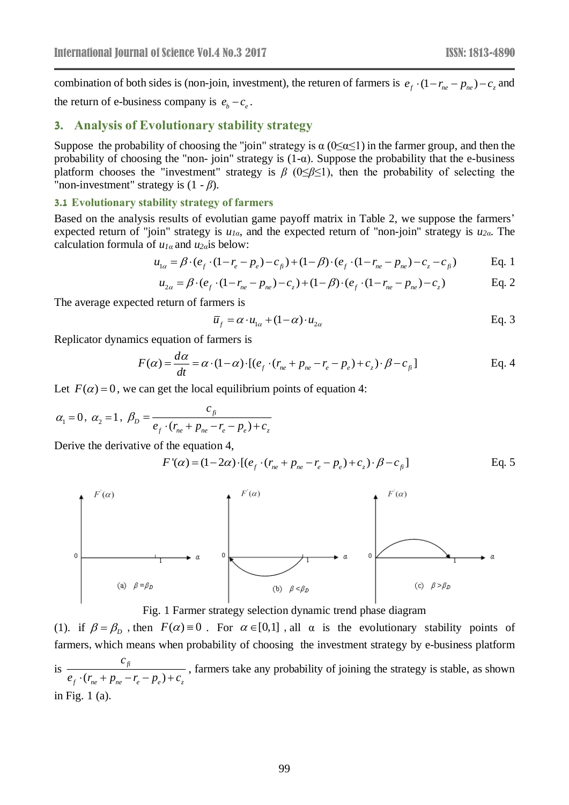combination of both sides is (non-join, investment), the returen of farmers is  $e_f \cdot (1 - r_{ne} - p_{ne}) - c_z$  and the return of e-business company is  $e_b - c_e$ .

### **3. Analysis of Evolutionary stability strategy**

Suppose the probability of choosing the "join" strategy is  $\alpha$  (0 $\leq \alpha \leq 1$ ) in the farmer group, and then the probability of choosing the "non- join" strategy is  $(1-\alpha)$ . Suppose the probability that the e-business platform chooses the "investment" strategy is *β* (0≤*β*≤1), then the probability of selecting the "non-investment" strategy is (1 - *β*).

#### **3.1 Evolutionary stability strategy of farmers**

Based on the analysis results of evolutian game payoff matrix in [Table 2,](#page-1-1) we suppose the farmers' expected return of "join" strategy is *u1α*, and the expected return of "non-join" strategy is *u2α*. The calculation formula of *u1α* and *u2α*is below:

$$
u_{1\alpha} = \beta \cdot (e_f \cdot (1 - r_e - p_e) - c_{fi}) + (1 - \beta) \cdot (e_f \cdot (1 - r_{ne} - p_{ne}) - c_z - c_{fi})
$$
 Eq. 1

$$
u_{1\alpha} = \beta \cdot (e_f \cdot (1 - r_e - p_e) - c_{fi}) + (1 - \beta) \cdot (e_f \cdot (1 - r_{ne} - p_{ne}) - c_z - c_{fi})
$$
 Eq. 1  

$$
u_{2\alpha} = \beta \cdot (e_f \cdot (1 - r_{ne} - p_{ne}) - c_z) + (1 - \beta) \cdot (e_f \cdot (1 - r_{ne} - p_{ne}) - c_z)
$$
 Eq. 2

The average expected return of farmers is

$$
\overline{u}_f = \alpha \cdot u_{1\alpha} + (1 - \alpha) \cdot u_{2\alpha}
$$
 Eq. 3

Replicator dynamics equation of farmers is

$$
F(\alpha) = \frac{d\alpha}{dt} = \alpha \cdot (1 - \alpha) \cdot [(e_f \cdot (r_{ne} + p_{ne} - r_e - p_e) + c_z) \cdot \beta - c_{fi}] \tag{Eq. 4}
$$

Let  $F(\alpha) = 0$ , we can get the local equilibrium points of equation 4:

$$
\alpha_1 = 0
$$
,  $\alpha_2 = 1$ ,  $\beta_D = \frac{c_{fi}}{e_f \cdot (r_{ne} + p_{ne} - r_e - p_e) + c_z}$ 

Derive the derivative of the equation 4,

$$
F'(\alpha) = (1 - 2\alpha) \cdot [(e_f \cdot (r_{ne} + p_{ne} - r_e - p_e) + c_z) \cdot \beta - c_{fi}]
$$
 Eq. 5



Fig. 1 Farmer strategy selection dynamic trend phase diagram

<span id="page-2-0"></span>(1). if  $\beta = \beta_D$ , then  $F(\alpha) = 0$ . For  $\alpha \in [0,1]$ , all  $\alpha$  is the evolutionary stability points of farmers, which means when probability of choosing the investment strategy by e-business platform is  $(r_{n_e} + p_{n_e} - r_e - p_e)$ *fi f*  $\vee$  *ne*  $P$  *ne*  $\vee$  *e*  $Pe$   $\vee$   $\vee$   $\vee$ *c*  $e_{f}$  ·  $(r_{ne} + p_{ne} - r_{e} - p_{e}) + c$ , farmers take any probability of joining the strategy is stable, as shown in [Fig. 1](#page-2-0) (a).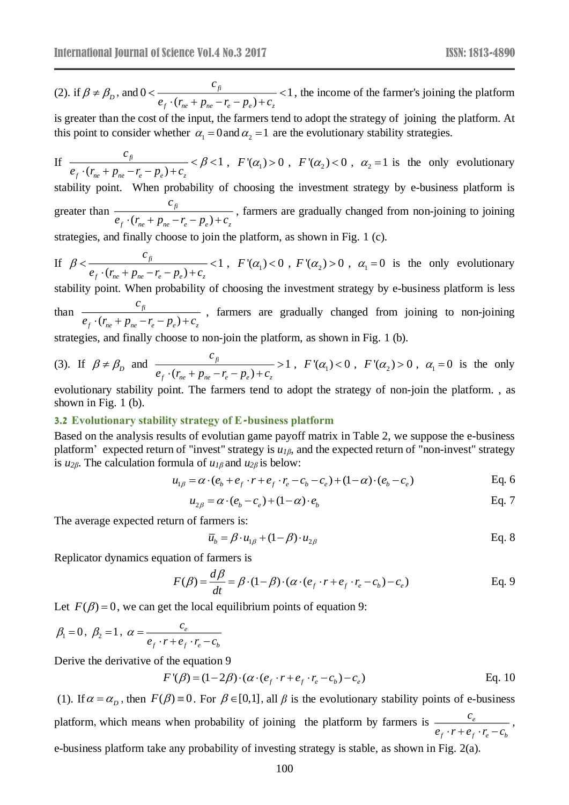(2). if  $\beta \neq \beta_D$ , and  $0 < \frac{\beta}{\beta} < 1$  $(r_{ne} + p_{ne} - r_e - p_e)$ *fi f*  $\vee$  *ne P ne e e P e*<sup></sup> *z c*  $e_f \cdot (r_{ne} + p_{ne} - r_e - p_e) + c$  $\frac{f}{e_r \cdot (r_{\text{tot}} + p_{\text{tot}} - r_{\text{c}} - p_{\text{o}}) + c_{\text{c}}} < 1$ , the income of the farmer's joining the platform

is greater than the cost of the input, the farmers tend to adopt the strategy of joining the platform. At this point to consider whether  $\alpha_1 = 0$  and  $\alpha_2 = 1$  are the evolutionary stability strategies.

If 
$$
\frac{c_{\hat{\beta}}}{e_f \cdot (r_{ne} + p_{ne} - r_e - p_e) + c_z} < \beta < 1
$$
,  $F'(\alpha_1) > 0$ ,  $F'(\alpha_2) < 0$ ,  $\alpha_2 = 1$  is the only evolutionary

stability point. When probability of choosing the investment strategy by e-business platform is greater than  $(r_{ne} + p_{ne} - r_e - p_e)$ *fi f*  $\vee$  *ne*  $\vee$  *P ne*  $\vee$  *e*  $\vee$  *P e*  $\vee$   $\vee$   $\vee$   $\vee$   $\vee$ *c*  $e_f \cdot (r_{ne} + p_{ne} - r_e - p_e) + c$ , farmers are gradually changed from non-joining to joining

strategies, and finally choose to join the platform, as shown in [Fig. 1](#page-2-0) (c).

If 
$$
\beta < \frac{c_{\hat{\beta}}}{e_f \cdot (r_{ne} + p_{ne} - r_e - p_e) + c_z} < 1
$$
,  $F'(\alpha_1) < 0$ ,  $F'(\alpha_2) > 0$ ,  $\alpha_1 = 0$  is the only evolutionary

stability point. When probability of choosing the investment strategy by e-business platform is less than  $(r_{ne} + p_{ne} - r_e - p_e)$ *fi f ne ne e e z c*  $e_{f}$   $\cdot$  ( $r_{ne}$  +  $p_{ne}$  -  $r_{e}$  –  $p_{e}$ ) +  $c$ , farmers are gradually changed from joining to non-joining

strategies, and finally choose to non-join the platform, as shown in [Fig. 1](#page-2-0) (b).

(3). If 
$$
\beta \neq \beta_D
$$
 and  $\frac{c_{\beta}}{e_f \cdot (r_{ne} + p_{ne} - r_e - p_e) + c_z} > 1$ ,  $F'(\alpha_1) < 0$ ,  $F'(\alpha_2) > 0$ ,  $\alpha_1 = 0$  is the only

evolutionary stability point. The farmers tend to adopt the strategy of non-join the platform. , as shown in [Fig. 1](#page-2-0) (b).

#### **3.2 Evolutionary stability strategy of E-business platform**

Based on the analysis results of evolutian game payoff matrix in [Table 2,](#page-1-1) we suppose the e-business platform' expected return of "invest" strategy is *u1β*, and the expected return of "non-invest" strategy is *u2β*. The calculation formula of *u1β* and *u2β* is below:

$$
u_{1\beta} = \alpha \cdot (e_b + e_f \cdot r + e_f \cdot r_e - c_b - c_e) + (1 - \alpha) \cdot (e_b - c_e)
$$
 Eq. 6

$$
u_{2\beta} = \alpha \cdot (e_b - c_e) + (1 - \alpha) \cdot e_b
$$
 Eq. 7

The average expected return of farmers is:

$$
\overline{u}_b = \beta \cdot u_{1\beta} + (1 - \beta) \cdot u_{2\beta} \tag{Eq. 8}
$$

Replicator dynamics equation of farmers is

$$
F(\beta) = \frac{d\beta}{dt} = \beta \cdot (1 - \beta) \cdot (\alpha \cdot (e_f \cdot r + e_f \cdot r_e - c_b) - c_e)
$$
 Eq. 9

Let  $F(\beta) = 0$ , we can get the local equilibrium points of equation 9:

$$
\beta_1 = 0, \ \beta_2 = 1, \ \alpha = \frac{c_e}{e_f \cdot r + e_f \cdot r_e - c_b}
$$

Derive the derivative of the equation 9

$$
F'(\beta) = (1 - 2\beta) \cdot (\alpha \cdot (e_f \cdot r + e_f \cdot r_e - c_b) - c_e)
$$
 Eq. 10

(1). If  $\alpha = \alpha_p$ , then  $F(\beta) = 0$ . For  $\beta \in [0,1]$ , all  $\beta$  is the evolutionary stability points of e-business platform, which means when probability of joining the platform by farmers is  $\frac{e}{\sqrt{e}}$  $f \cdot f \cdot e \cdot e$ *c*  $\frac{c_e}{e_c \cdot r + e_c \cdot r - c_i},$ e-business platform take any probability of investing strategy is stable, as shown in [Fig. 2\(](#page-4-0)a).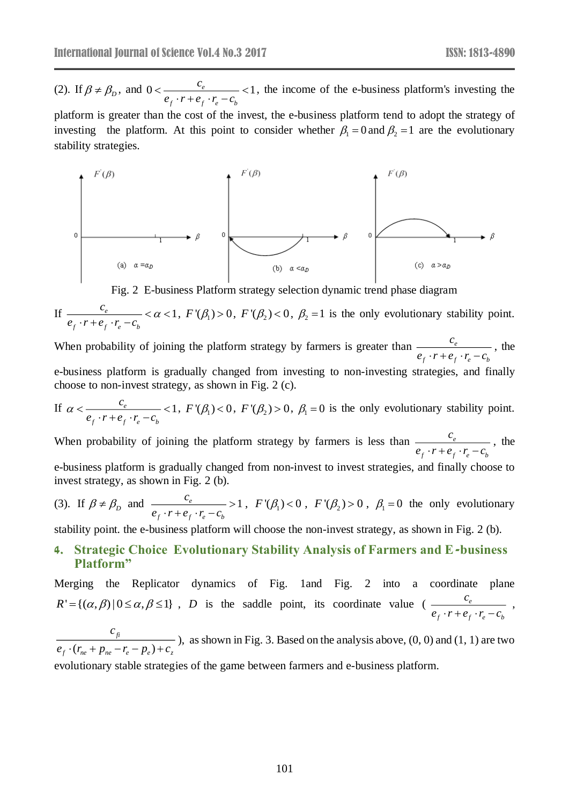(2). If  $\beta \neq \beta_D$ , and  $0 < \frac{c_e}{\beta - \beta + \beta - \beta} < 1$  $f \cdot r + e_f \cdot r_e - c_b$ *c*  $\frac{e}{e_f \cdot r + e_f \cdot r_e - c}$  $\lt \frac{c_e}{\sqrt{c_e}}$   $\lt 1$ ,  $\frac{c_e}{(c_e + c_f \cdot r_e - c_b)}$  < 1, the income of the e-business platform's investing the

platform is greater than the cost of the invest, the e-business platform tend to adopt the strategy of investing the platform. At this point to consider whether  $\beta_1 = 0$  and  $\beta_2 = 1$  are the evolutionary stability strategies.



Fig. 2 E-business Platform strategy selection dynamic trend phase diagram

<span id="page-4-0"></span>If 
$$
\frac{c_e}{e_f \cdot r + e_f \cdot r_e - c_b} < \alpha < 1
$$
,  $F'(\beta_1) > 0$ ,  $F'(\beta_2) < 0$ ,  $\beta_2 = 1$  is the only evolutionary stability point.

When probability of joining the platform strategy by farmers is greater than  $\frac{e}{e}$  $f'$   $\mathbf{r}$   $\mathbf{e}_f \cdot \mathbf{r}_e$   $\mathbf{e}_b$ *c*  $\frac{c_e}{e_f \cdot r + e_f \cdot r_e - c_b}$ , the e-business platform is gradually changed from investing to non-investing strategies, and finally choose to non-invest strategy, as shown in [Fig. 2](#page-4-0) (c).

If 
$$
\alpha < \frac{c_e}{e_f \cdot r + e_f \cdot r_e - c_b} < 1
$$
,  $F'(\beta_1) < 0$ ,  $F'(\beta_2) > 0$ ,  $\beta_1 = 0$  is the only evolutionary stability point.

When probability of joining the platform strategy by farmers is less than  $\frac{e^{i\theta}}{e^{i\theta}}$  $f \cdot f \cdot f e \cdot f$ *c*  $\frac{c_e}{e_r \cdot r + e_r \cdot r - c_h}$ , the

e-business platform is gradually changed from non-invest to invest strategies, and finally choose to invest strategy, as shown in [Fig. 2](#page-4-0) (b).

(3). If 
$$
\beta \neq \beta_D
$$
 and  $\frac{c_e}{e_f \cdot r + e_f \cdot r_e - c_b} > 1$ ,  $F'(\beta_1) < 0$ ,  $F'(\beta_2) > 0$ ,  $\beta_1 = 0$  the only evolutionary

stability point. the e-business platform will choose the non-invest strategy, as shown in [Fig. 2](#page-4-0) (b).

# **4. Strategic Choice Evolutionary Stability Analysis of Farmers and E-business Platform"**

Merging the Replicator dynamics of [Fig. 1a](#page-2-0)nd [Fig. 2](#page-4-0) into a coordinate plane  $R' = {(\alpha, \beta) | 0 \le \alpha, \beta \le 1}$ , *D* is the saddle point, its coordinate value ( — <sup>c</sup>  $f \cdot f \cdot f e \cdot f$ *c*  $\frac{c_e}{e_s \cdot r + e_s \cdot r_c - c_h}$ , *c*

 $(r_{n\rho} + p_{n\rho} - r_{\rho} - p_{\rho})$ *fi f*  $V_{ne}$   $P_{ne}$   $P_{e}$   $P_{e}$   $P_{e}$  $e_{f}$   $\cdot$  ( $r_{ne}$  +  $p_{ne}$  -  $r_{e}$  -  $p_{e}$ ) +  $c$ ), as shown in [Fig. 3.](#page-5-0) Based on the analysis above,  $(0, 0)$  and  $(1, 1)$  are two

evolutionary stable strategies of the game between farmers and e-business platform.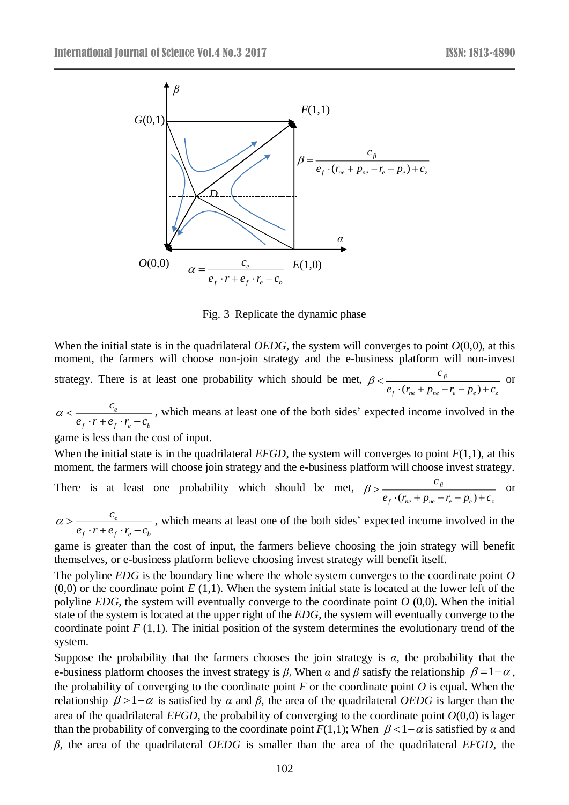

Fig. 3 Replicate the dynamic phase

<span id="page-5-0"></span>When the initial state is in the quadrilateral *OEDG*, the system will converges to point  $O(0,0)$ , at this moment, the farmers will choose non-join strategy and the e-business platform will non-invest strategy. There is at least one probability which should be met,  $(r_{ne} + p_{ne} - r_e - p_e)$ *fi f*  $\vee$  *ne*  $\vee$  *P ne*  $\vee$  *e*  $\vee$  *P e*  $\vee$   $\vee$   $\vee$   $\vee$   $\vee$   $\vee$   $\vee$   $\vee$   $\vee$   $\vee$   $\vee$   $\vee$   $\vee$   $\vee$   $\vee$   $\vee$   $\vee$   $\vee$   $\vee$   $\vee$   $\vee$   $\vee$   $\vee$   $\vee$   $\vee$   $\vee$   $\vee$   $\vee$ *c*  $e_f \cdot (r_{ne} + p_{ne} - r_e - p_e) + c$  $\beta < \frac{c_{fi}}{e_{c} \cdot (r_{n} + p_{n} - r_{c} - p_{n}) + c_{c}}$  or

*e f f e b c*  $e_{\ell} \cdot r + e_{\ell} \cdot r - c$  $\alpha$   $<$  $\frac{c_e}{(r+e_e \cdot r-c_e)}$ , which means at least one of the both sides' expected income involved in the

game is less than the cost of input.

When the initial state is in the quadrilateral *EFGD*, the system will converges to point  $F(1,1)$ , at this moment, the farmers will choose join strategy and the e-business platform will choose invest strategy.

There is at least one probability which should be met,  $(r_{n\rho} + p_{n\rho} - r_{\rho} - p_{\rho})$ *fi*  $f \vee ne \vee Pne \vee e$   $e \vee e$ *c*  $e_f \cdot (r_{ne} + p_{ne} - r_e - p_e) + c$  $\beta > \frac{c_{fi}}{e_{cf} \cdot (r_{f} + p_{f} - r_{f} - p_{f}) + c_{f}}$  or

*e f f e b c e c*  $\cdot$  *r* + *e c*  $\cdot$  *r* + *c*  $\alpha$   $>$  $\frac{c_e}{(r+e_e \cdot r-c_e)}$ , which means at least one of the both sides' expected income involved in the

game is greater than the cost of input, the farmers believe choosing the join strategy will benefit themselves, or e-business platform believe choosing invest strategy will benefit itself.

The polyline *EDG* is the boundary line where the whole system converges to the coordinate point *O*   $(0,0)$  or the coordinate point  $E(1,1)$ . When the system initial state is located at the lower left of the polyline *EDG*, the system will eventually converge to the coordinate point *O* (0,0). When the initial state of the system is located at the upper right of the *EDG*, the system will eventually converge to the coordinate point  $F(1,1)$ . The initial position of the system determines the evolutionary trend of the system.

Suppose the probability that the farmers chooses the join strategy is *α,* the probability that the e-business platform chooses the invest strategy is  $\beta$ , When  $\alpha$  and  $\beta$  satisfy the relationship  $\beta = 1 - \alpha$ , the probability of converging to the coordinate point  $F$  or the coordinate point  $O$  is equal. When the relationship  $β > 1-α$  is satisfied by *α* and *β*, the area of the quadrilateral *OEDG* is larger than the area of the quadrilateral *EFGD*, the probability of converging to the coordinate point  $O(0,0)$  is lager than the probability of converging to the coordinate point  $F(1,1)$ ; When  $\beta < 1-\alpha$  is satisfied by  $\alpha$  and *β*, the area of the quadrilateral *OEDG* is smaller than the area of the quadrilateral *EFGD*, the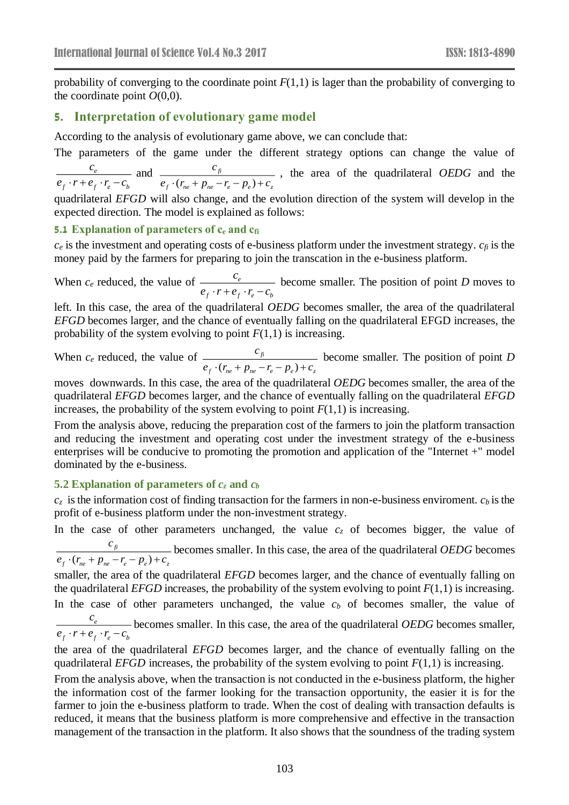probability of converging to the coordinate point  $F(1,1)$  is lager than the probability of converging to the coordinate point  $O(0,0)$ .

### **5. Interpretation of evolutionary game model**

According to the analysis of evolutionary game above, we can conclude that:

The parameters of the game under the different strategy options can change the value of

*e f f e b c*  $\frac{c_e}{e_s \cdot r + e_s \cdot r_c - c_h}$  and  $(r_{ne} + p_{ne} - r_e - p_e)$ *fi f*  $\vee$  *ne P ne e e P e P e z c*  $e_f \cdot (r_{ne} + p_{ne} - r_e - p_e) + c$ , the area of the quadrilateral *OEDG* and the

quadrilateral *EFGD* will also change, and the evolution direction of the system will develop in the expected direction. The model is explained as follows:

### **5.1 Explanation of parameters of c<sup>e</sup> and cfi**

 $c_e$  is the investment and operating costs of e-business platform under the investment strategy.  $c_f$  is the money paid by the farmers for preparing to join the transcation in the e-business platform.

When  $c_e$  reduced, the value of  $\frac{c_e}{c_e}$ *f f <sup>e</sup> b c*  $\frac{e_e}{e_e \cdot r + e_e \cdot r_a - c_b}$  become smaller. The position of point *D* moves to

left. In this case, the area of the quadrilateral *OEDG* becomes smaller, the area of the quadrilateral *EFGD* becomes larger, and the chance of eventually falling on the quadrilateral EFGD increases, the probability of the system evolving to point  $F(1,1)$  is increasing.

When  $c_e$  reduced, the value of  $\frac{c_f}{e_f \cdot (r_{ne} + p_{ne} - r_e - p_e)}$  $f_r \cdot (r_{ne} + p_{ne} - r_e - p_e) + c_z$ *c*  $e_f \cdot (r_{ne} + p_{ne} - r_e - p_e) + c_z$  become smaller. The position of point *D* 

moves downwards. In this case, the area of the quadrilateral *OEDG* becomes smaller, the area of the quadrilateral *EFGD* becomes larger, and the chance of eventually falling on the quadrilateral *EFGD* increases, the probability of the system evolving to point  $F(1,1)$  is increasing.

From the analysis above, reducing the preparation cost of the farmers to join the platform transaction and reducing the investment and operating cost under the investment strategy of the e-business enterprises will be conducive to promoting the promotion and application of the "Internet +" model dominated by the e-business.

### **5.2 Explanation of parameters of** *c<sup>z</sup>* **and** *c<sup>b</sup>*

 $c_z$  is the information cost of finding transaction for the farmers in non-e-business enviroment.  $c_b$  is the profit of e-business platform under the non-investment strategy.

In the case of other parameters unchanged, the value  $c<sub>z</sub>$  of becomes bigger, the value of

 $(r_{n\rho} + p_{n\rho} - r_{\rho} - p_{\rho})$ *fi f*  $\vee$  *ne P ne P e P e P e Y* <sup>1</sup> **c**<sub>*z*</sub> *c*  $e_{f}$   $\cdot$  ( $r_{ne}$  +  $p_{ne}$  -  $r_{e}$  –  $p_{e}$ ) +  $c$ becomes smaller. In this case, the area of the quadrilateral *OEDG* becomes

smaller, the area of the quadrilateral *EFGD* becomes larger, and the chance of eventually falling on the quadrilateral *EFGD* increases, the probability of the system evolving to point  $F(1,1)$  is increasing.

In the case of other parameters unchanged, the value  $c<sub>b</sub>$  of becomes smaller, the value of *e c*  $\frac{e_e}{e_e \cdot r + e_e \cdot r - c_e}$  becomes smaller. In this case, the area of the quadrilateral *OEDG* becomes smaller,

*f f e b*

the area of the quadrilateral *EFGD* becomes larger, and the chance of eventually falling on the quadrilateral *EFGD* increases, the probability of the system evolving to point  $F(1,1)$  is increasing.

From the analysis above, when the transaction is not conducted in the e-business platform, the higher the information cost of the farmer looking for the transaction opportunity, the easier it is for the farmer to join the e-business platform to trade. When the cost of dealing with transaction defaults is reduced, it means that the business platform is more comprehensive and effective in the transaction management of the transaction in the platform. It also shows that the soundness of the trading system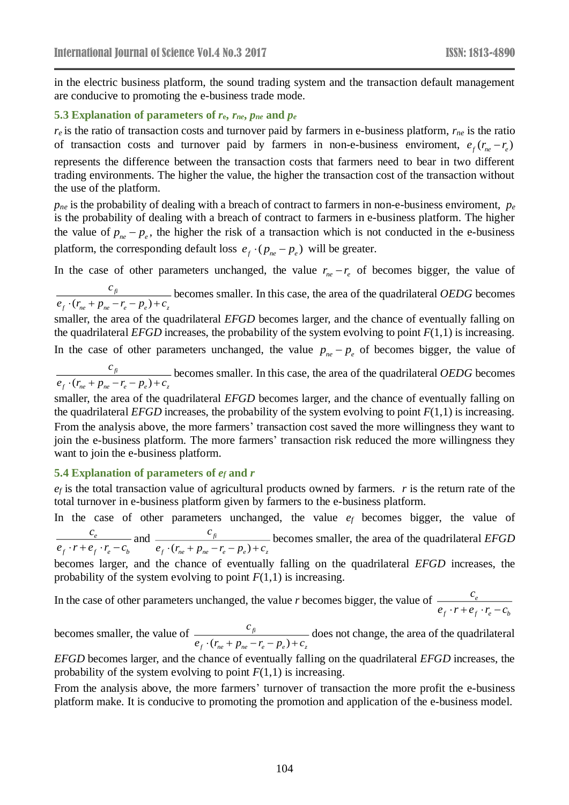in the electric business platform, the sound trading system and the transaction default management are conducive to promoting the e-business trade mode.

#### **5.3 Explanation of parameters of** *r***e,** *rne***,** *pne* **and** *p<sup>e</sup>*

*r<sup>e</sup>* is the ratio of transaction costs and turnover paid by farmers in e-business platform, *rne* is the ratio of transaction costs and turnover paid by farmers in non-e-business enviroment,  $e_f(r_{ne} - r_e)$ represents the difference between the transaction costs that farmers need to bear in two different trading environments. The higher the value, the higher the transaction cost of the transaction without the use of the platform.

*pne* is the probability of dealing with a breach of contract to farmers in non-e-business enviroment, *p<sup>e</sup>* is the probability of dealing with a breach of contract to farmers in e-business platform. The higher the value of  $p_{ne} - p_e$ , the higher the risk of a transaction which is not conducted in the e-business platform, the corresponding default loss  $e_f \cdot (p_{ne} - p_e)$  will be greater.

In the case of other parameters unchanged, the value  $r_{ne} - r_e$  of becomes bigger, the value of

 $(r_{ne} + p_{ne} - r_e - p_e)$ *fi f*  $\cdot$  *ne*  $P$  *ne*  $\cdot$  *e*  $P$  *e*  $\cdot$   $\cdot$   $\cdot$   $\cdot$   $\cdot$   $\cdot$ *c*  $e_{f}$   $\cdot$  ( $r_{ne}$  +  $p_{ne}$  -  $r_{e}$  –  $p_{e}$ ) +  $c$ becomes smaller. In this case, the area of the quadrilateral *OEDG* becomes

smaller, the area of the quadrilateral *EFGD* becomes larger, and the chance of eventually falling on the quadrilateral *EFGD* increases, the probability of the system evolving to point  $F(1,1)$  is increasing. In the case of other parameters unchanged, the value  $p_{ne} - p_e$  of becomes bigger, the value of

 $(r_{ne} + p_{ne} - r_e - p_e)$ *fi f*  $\cdot$  *ne*  $\cdot$  *P ne*  $\cdot$  *e*  $\cdot$  *P e*  $\cdot$   $\cdot$   $\cdot$   $\cdot$   $\cdot$  *z c*  $e_{f}$   $\cdot$  ( $r_{ne}$  +  $p_{ne}$  -  $r_{e}$  –  $p_{e}$ ) +  $c$ becomes smaller. In this case, the area of the quadrilateral *OEDG* becomes

smaller, the area of the quadrilateral *EFGD* becomes larger, and the chance of eventually falling on the quadrilateral *EFGD* increases, the probability of the system evolving to point  $F(1,1)$  is increasing. From the analysis above, the more farmers' transaction cost saved the more willingness they want to join the e-business platform. The more farmers' transaction risk reduced the more willingness they want to join the e-business platform.

### **5.4 Explanation of parameters of** *e<sup>f</sup>* **and** *r*

*e<sup>f</sup>* is the total transaction value of agricultural products owned by farmers. *r* is the return rate of the total turnover in e-business platform given by farmers to the e-business platform.

In the case of other parameters unchanged, the value  $e_f$  becomes bigger, the value of *e f f e b c*  $\frac{c_e}{e_c \cdot r + e_c \cdot r - c_i}$  and  $(r_{n\rho} + p_{n\rho} - r_{\rho} - p_{\rho})$ *fi*  $f \vee ne \vee Pne \vee e$ <sup>*r*</sup>  $e \vee e$ <sup>*r*</sup>  $\vee$ </sup>z *c*  $e_f \cdot (r_{ne} + p_{ne} - r_e - p_e) + c$ becomes smaller, the area of the quadrilateral *EFGD*

becomes larger, and the chance of eventually falling on the quadrilateral *EFGD* increases, the probability of the system evolving to point  $F(1,1)$  is increasing.

In the case of other parameters unchanged, the value *r* becomes bigger, the value of  $\frac{e}{\epsilon}$  $f \cdot f \cdot f e \cdot f$ *c*  $e_{c} \cdot r + e_{c} \cdot r - c$ 

becomes smaller, the value of  $(r_{n\rho} + p_{n\rho} - r_{\rho} - p_{\rho})$ *fi*  $f^{th}$  *ne P ne e e P e P e P e z c*  $e_{f}$   $\cdot$  ( $r_{ne}$  +  $p_{ne}$  -  $r_{e}$  -  $p_{e}$ ) +  $c$ does not change, the area of the quadrilateral

*EFGD* becomes larger, and the chance of eventually falling on the quadrilateral *EFGD* increases, the probability of the system evolving to point  $F(1,1)$  is increasing.

From the analysis above, the more farmers' turnover of transaction the more profit the e-business platform make. It is conducive to promoting the promotion and application of the e-business model.